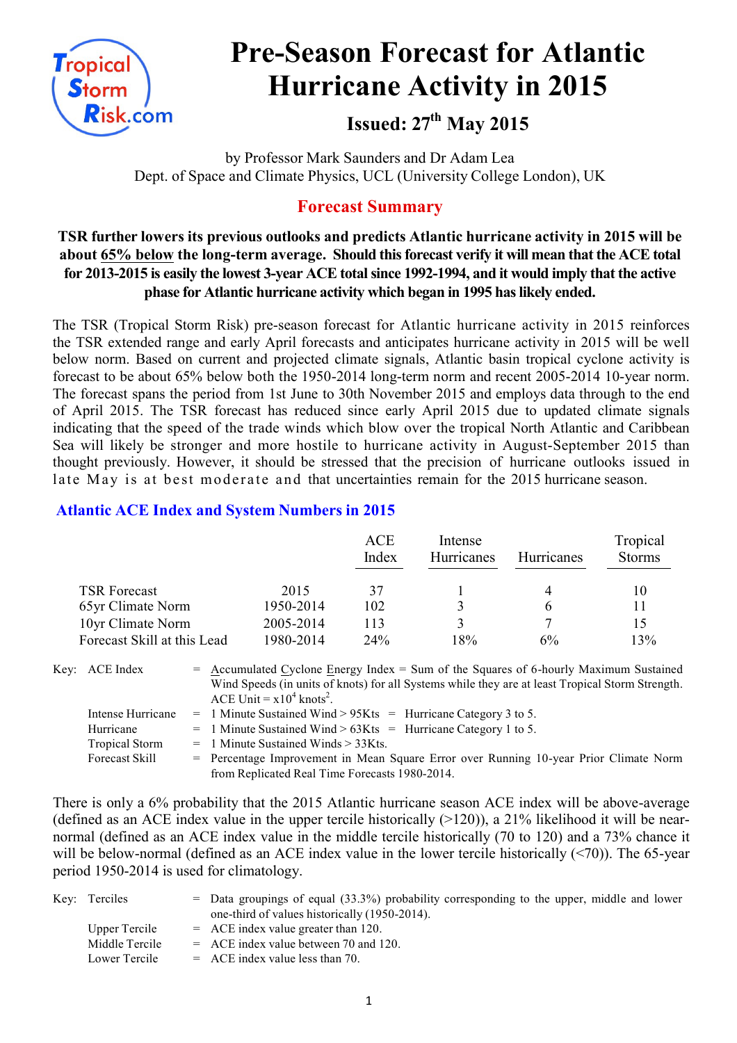

# **Pre-Season Forecast for Atlantic Hurricane Activity in 2015**

**Issued: 27th May 2015**

by Professor Mark Saunders and Dr Adam Lea Dept. of Space and Climate Physics, UCL (University College London), UK

# **Forecast Summary**

## **TSR further lowers its previous outlooks and predicts Atlantic hurricane activity in 2015 will be about 65% below the long-term average. Should this forecast verify it will mean that the ACE total for 2013-2015 is easily the lowest 3-year ACE total since 1992-1994, and it would imply that the active phase for Atlantic hurricane activity which began in 1995 has likely ended.**

The TSR (Tropical Storm Risk) pre-season forecast for Atlantic hurricane activity in 2015 reinforces the TSR extended range and early April forecasts and anticipates hurricane activity in 2015 will be well below norm. Based on current and projected climate signals, Atlantic basin tropical cyclone activity is forecast to be about 65% below both the 1950-2014 long-term norm and recent 2005-2014 10-year norm. The forecast spans the period from 1st June to 30th November 2015 and employs data through to the end of April 2015. The TSR forecast has reduced since early April 2015 due to updated climate signals indicating that the speed of the trade winds which blow over the tropical North Atlantic and Caribbean Sea will likely be stronger and more hostile to hurricane activity in August-September 2015 than thought previously. However, it should be stressed that the precision of hurricane outlooks issued in late May is at best moderate and that uncertainties remain for the 2015 hurricane season.

## **Atlantic ACE Index and System Numbers in 2015**

|                             |           | <b>ACE</b><br>Index | Intense<br><b>Hurricanes</b> | <b>Hurricanes</b> | Tropical<br><b>Storms</b> |
|-----------------------------|-----------|---------------------|------------------------------|-------------------|---------------------------|
| <b>TSR Forecast</b>         | 2015      | 37                  |                              |                   | 10                        |
| 65yr Climate Norm           | 1950-2014 | 102                 |                              | h                 |                           |
| 10yr Climate Norm           | 2005-2014 | 113                 |                              |                   |                           |
| Forecast Skill at this Lead | 1980-2014 | 24%                 | 18%                          | 6%                | 13%                       |

Key:  $ACE Index$  = Accumulated Cyclone Energy Index = Sum of the Squares of 6-hourly Maximum Sustained Wind Speeds (in units of knots) for all Systems while they are at least Tropical Storm Strength. ACE Unit =  $x10^4$  knots<sup>2</sup>. Intense Hurricane = 1 Minute Sustained Wind >  $95K$ ts = Hurricane Category 2 to 5.

|                       | Intense Huritcane $\theta = 1$ Minute Sustangu wing $\theta > 3$ Nts $\theta = 1$ Huritcane Category 3 to 3. |
|-----------------------|--------------------------------------------------------------------------------------------------------------|
| Hurricane             | $=$ 1 Minute Sustained Wind > 63Kts = Hurricane Category 1 to 5.                                             |
| <b>Tropical Storm</b> | $=$ 1 Minute Sustained Winds $>$ 33Kts.                                                                      |
| <b>Forecast Skill</b> | = Percentage Improvement in Mean Square Error over Running 10-year Prior Climate Norm                        |
|                       | from Replicated Real Time Forecasts 1980-2014.                                                               |

There is only a 6% probability that the 2015 Atlantic hurricane season ACE index will be above-average (defined as an ACE index value in the upper tercile historically  $(>120)$ ), a 21% likelihood it will be nearnormal (defined as an ACE index value in the middle tercile historically (70 to 120) and a 73% chance it will be below-normal (defined as an ACE index value in the lower tercile historically (<70)). The 65-year period 1950-2014 is used for climatology.

| Key: Terciles  | $=$ Data groupings of equal (33.3%) probability corresponding to the upper, middle and lower<br>one-third of values historically (1950-2014). |
|----------------|-----------------------------------------------------------------------------------------------------------------------------------------------|
| Upper Tercile  | $=$ ACE index value greater than 120.                                                                                                         |
| Middle Tercile | $=$ ACE index value between 70 and 120.                                                                                                       |
| Lower Tercile  | $=$ ACE index value less than 70.                                                                                                             |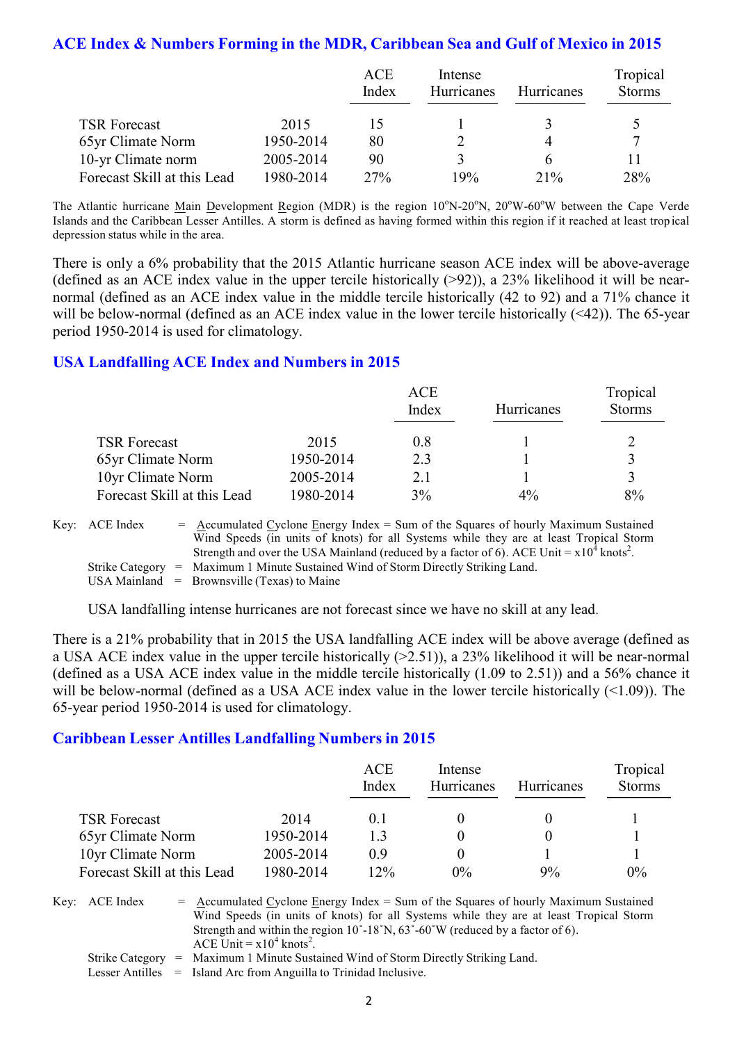## **ACE Index & Numbers Forming in the MDR, Caribbean Sea and Gulf of Mexico in 2015**

|                             |           | <b>ACE</b> | Intense    |                   | Tropical      |  |
|-----------------------------|-----------|------------|------------|-------------------|---------------|--|
|                             |           | Index      | Hurricanes | <b>Hurricanes</b> | <b>Storms</b> |  |
|                             |           |            |            |                   |               |  |
| <b>TSR Forecast</b>         | 2015      |            |            |                   |               |  |
| 65yr Climate Norm           | 1950-2014 | 80         |            | 4                 |               |  |
| 10-yr Climate norm          | 2005-2014 | 90         | 3          |                   |               |  |
| Forecast Skill at this Lead | 1980-2014 | 27%        | 19%        | 21%               | 28%           |  |

The Atlantic hurricane Main Development Region (MDR) is the region 10°N-20°N, 20°W-60°W between the Cape Verde Islands and the Caribbean Lesser Antilles. A storm is defined as having formed within this region if it reached at least tropical depression status while in the area.

There is only a 6% probability that the 2015 Atlantic hurricane season ACE index will be above-average (defined as an ACE index value in the upper tercile historically  $(>92)$ ), a 23% likelihood it will be nearnormal (defined as an ACE index value in the middle tercile historically (42 to 92) and a 71% chance it will be below-normal (defined as an ACE index value in the lower tercile historically (<42)). The 65-year period 1950-2014 is used for climatology.

## **USA Landfalling ACE Index and Numbers in 2015**

|                             |           | ACE<br>Index | Hurricanes | Tropical<br><b>Storms</b> |
|-----------------------------|-----------|--------------|------------|---------------------------|
| <b>TSR Forecast</b>         | 2015      | 0.8          |            |                           |
| 65yr Climate Norm           | 1950-2014 | 2.3          |            | $\mathbf 3$               |
| 10yr Climate Norm           | 2005-2014 | 2.1          |            | $\mathbf 3$               |
| Forecast Skill at this Lead | 1980-2014 | 3%           | $4\%$      | 8%                        |

Key:  $\text{ACE Index} = \text{Accumulated Cyclone Energy Index} = \text{Sum of the Squares of hourly Maximum Sustainable distance.}$ Wind Speeds (in units of knots) for all Systems while they are at least Tropical Storm Strength and over the USA Mainland (reduced by a factor of 6). ACE Unit =  $x10^4$  knots<sup>2</sup>. Strike Category = Maximum 1 Minute Sustained Wind of Storm Directly Striking Land. USA Mainland  $=$  Brownsville (Texas) to Maine

USA landfalling intense hurricanes are not forecast since we have no skill at any lead.

There is a 21% probability that in 2015 the USA landfalling ACE index will be above average (defined as a USA ACE index value in the upper tercile historically (>2.51)), a 23% likelihood it will be near-normal (defined as a USA ACE index value in the middle tercile historically (1.09 to 2.51)) and a 56% chance it will be below-normal (defined as a USA ACE index value in the lower tercile historically  $($ (  $>$ 1.09)). The 65-year period 1950-2014 is used for climatology.

## **Caribbean Lesser Antilles Landfalling Numbers in 2015**

|                             |           | ACE<br>Index | Intense<br><b>Hurricanes</b> | <b>Hurricanes</b> | Tropical<br><b>Storms</b> |
|-----------------------------|-----------|--------------|------------------------------|-------------------|---------------------------|
| <b>TSR Forecast</b>         | 2014      | 0.1          |                              |                   |                           |
| 65yr Climate Norm           | 1950-2014 | 13           |                              |                   |                           |
| 10yr Climate Norm           | 2005-2014 | 09           |                              |                   |                           |
| Forecast Skill at this Lead | 1980-2014 | $12\%$       | $0\%$                        | 9%                | $0\%$                     |

Key:  $ACE Index = Accumulated Cyclone Energy Index = Sum of the Squares of hourly Maximum Sustainable$ Wind Speeds (in units of knots) for all Systems while they are at least Tropical Storm Strength and within the region  $10^{\circ}$ -18°N,  $63^{\circ}$ -60°W (reduced by a factor of 6). ACE Unit =  $x10^4$  knots<sup>2</sup>. Strike Category = Maximum 1 Minute Sustained Wind of Storm Directly Striking Land.

Lesser Antilles = Island Arc from Anguilla to Trinidad Inclusive.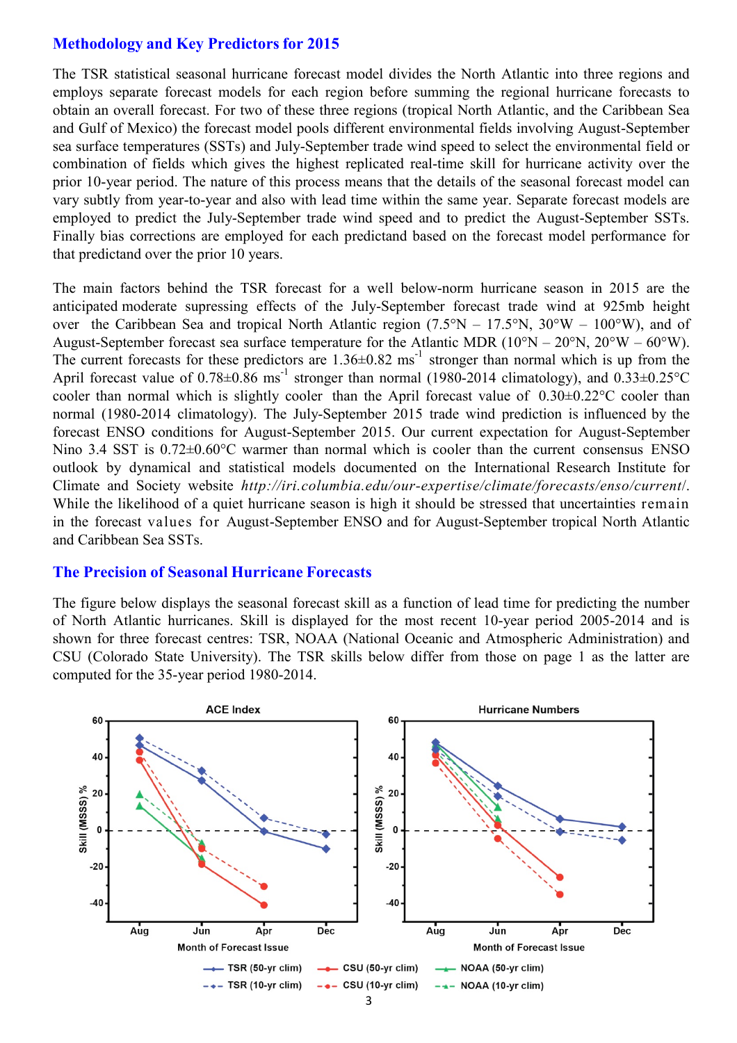## **Methodology and Key Predictors for 2015**

The TSR statistical seasonal hurricane forecast model divides the North Atlantic into three regions and employs separate forecast models for each region before summing the regional hurricane forecasts to obtain an overall forecast. For two of these three regions (tropical North Atlantic, and the Caribbean Sea and Gulf of Mexico) the forecast model pools different environmental fields involving August-September sea surface temperatures (SSTs) and July-September trade wind speed to select the environmental field or combination of fields which gives the highest replicated real-time skill for hurricane activity over the prior 10-year period. The nature of this process means that the details of the seasonal forecast model can vary subtly from year-to-year and also with lead time within the same year. Separate forecast models are employed to predict the July-September trade wind speed and to predict the August-September SSTs. Finally bias corrections are employed for each predictand based on the forecast model performance for that predictand over the prior 10 years.

The main factors behind the TSR forecast for a well below-norm hurricane season in 2015 are the anticipated moderate supressing effects of the July-September forecast trade wind at 925mb height over the Caribbean Sea and tropical North Atlantic region  $(7.5\text{°N} - 17.5\text{°N}, 30\text{°W} - 100\text{°W})$ , and of August-September forecast sea surface temperature for the Atlantic MDR (10°N – 20°N, 20°W – 60°W). The current forecasts for these predictors are  $1.36\pm0.82$  ms<sup>-1</sup> stronger than normal which is up from the April forecast value of  $0.78\pm0.86$  ms<sup>-1</sup> stronger than normal (1980-2014 climatology), and  $0.33\pm0.25$ °C cooler than normal which is slightly cooler than the April forecast value of 0.30±0.22°C cooler than normal (1980-2014 climatology). The July-September 2015 trade wind prediction is influenced by the forecast ENSO conditions for August-September 2015. Our current expectation for August-September Nino 3.4 SST is  $0.72 \pm 0.60$ °C warmer than normal which is cooler than the current consensus ENSO outlook by dynamical and statistical models documented on the International Research Institute for Climate and Society website *http://iri.columbia.edu/our-expertise/climate/forecasts/enso/current*/. While the likelihood of a quiet hurricane season is high it should be stressed that uncertainties remain in the forecast values for August-September ENSO and for August-September tropical North Atlantic and Caribbean Sea SSTs.

#### **The Precision of Seasonal Hurricane Forecasts**

The figure below displays the seasonal forecast skill as a function of lead time for predicting the number of North Atlantic hurricanes. Skill is displayed for the most recent 10-year period 2005-2014 and is shown for three forecast centres: TSR, NOAA (National Oceanic and Atmospheric Administration) and CSU (Colorado State University). The TSR skills below differ from those on page 1 as the latter are computed for the 35-year period 1980-2014.

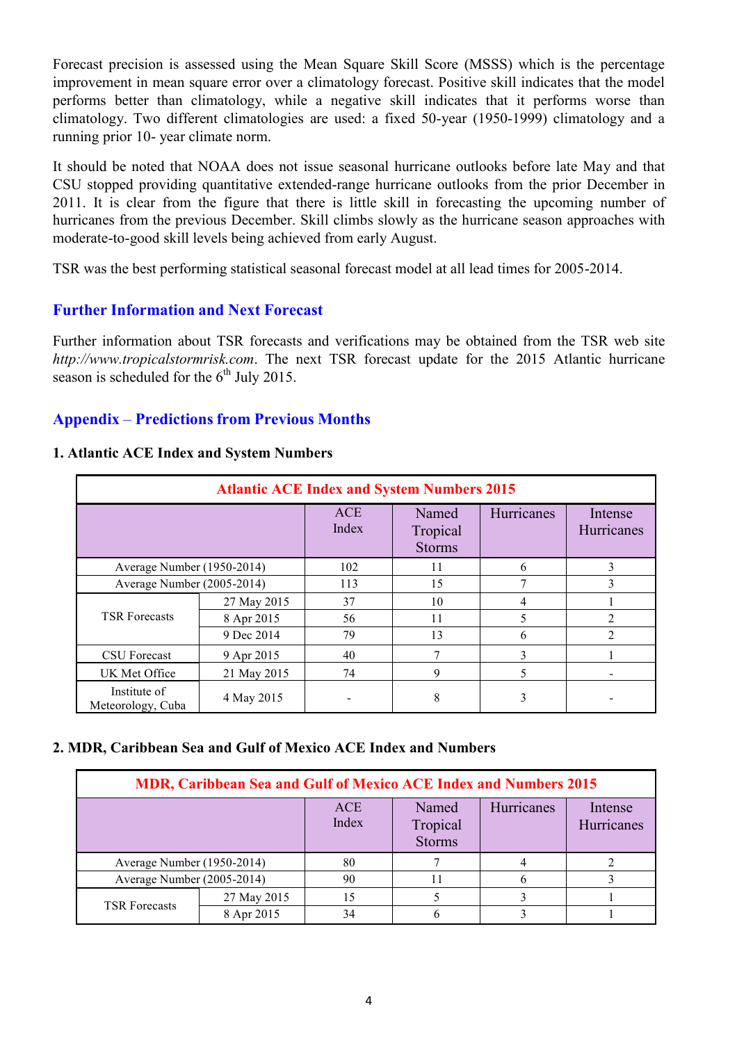Forecast precision is assessed using the Mean Square Skill Score (MSSS) which is the percentage improvement in mean square error over a climatology forecast. Positive skill indicates that the model performs better than climatology, while a negative skill indicates that it performs worse than climatology. Two different climatologies are used: a fixed 50-year (1950-1999) climatology and a running prior 10- year climate norm.

It should be noted that NOAA does not issue seasonal hurricane outlooks before late May and that CSU stopped providing quantitative extended-range hurricane outlooks from the prior December in 2011. It is clear from the figure that there is little skill in forecasting the upcoming number of hurricanes from the previous December. Skill climbs slowly as the hurricane season approaches with moderate-to-good skill levels being achieved from early August.

TSR was the best performing statistical seasonal forecast model at all lead times for 2005-2014.

## **Further Information and Next Forecast**

Further information about TSR forecasts and verifications may be obtained from the TSR web site *http://www.tropicalstormrisk.com*. The next TSR forecast update for the 2015 Atlantic hurricane season is scheduled for the  $6<sup>th</sup>$  July 2015.

## **Appendix** – **Predictions from Previous Months**

#### **1. Atlantic ACE Index and System Numbers**

| <b>Atlantic ACE Index and System Numbers 2015</b> |             |                     |                                    |            |                       |  |  |
|---------------------------------------------------|-------------|---------------------|------------------------------------|------------|-----------------------|--|--|
|                                                   |             | <b>ACE</b><br>Index | Named<br>Tropical<br><b>Storms</b> | Hurricanes | Intense<br>Hurricanes |  |  |
| Average Number (1950-2014)                        |             | 102                 | 11                                 | 6          | 3                     |  |  |
| Average Number (2005-2014)                        |             | 113                 | 15                                 | 7          | 3                     |  |  |
|                                                   | 27 May 2015 | 37                  | 10                                 | 4          |                       |  |  |
| <b>TSR Forecasts</b>                              | 8 Apr 2015  | 56                  | 11                                 | 5          | $\overline{2}$        |  |  |
|                                                   | 9 Dec 2014  | 79                  | 13                                 | 6          | C                     |  |  |
| CSU Forecast                                      | 9 Apr 2015  | 40                  | 7                                  | 3          |                       |  |  |
| UK Met Office                                     | 21 May 2015 | 74                  | 9                                  | 5          |                       |  |  |
| Institute of<br>Meteorology, Cuba                 | 4 May 2015  |                     | 8                                  | 3          |                       |  |  |

### **2. MDR, Caribbean Sea and Gulf of Mexico ACE Index and Numbers**

| MDR, Caribbean Sea and Gulf of Mexico ACE Index and Numbers 2015 |             |                     |                                    |            |                       |  |
|------------------------------------------------------------------|-------------|---------------------|------------------------------------|------------|-----------------------|--|
|                                                                  |             | <b>ACE</b><br>Index | Named<br>Tropical<br><b>Storms</b> | Hurricanes | Intense<br>Hurricanes |  |
| Average Number (1950-2014)                                       |             | 80                  |                                    |            |                       |  |
| Average Number (2005-2014)                                       |             | 90                  |                                    |            |                       |  |
|                                                                  | 27 May 2015 |                     |                                    |            |                       |  |
| <b>TSR Forecasts</b>                                             | 8 Apr 2015  |                     |                                    |            |                       |  |